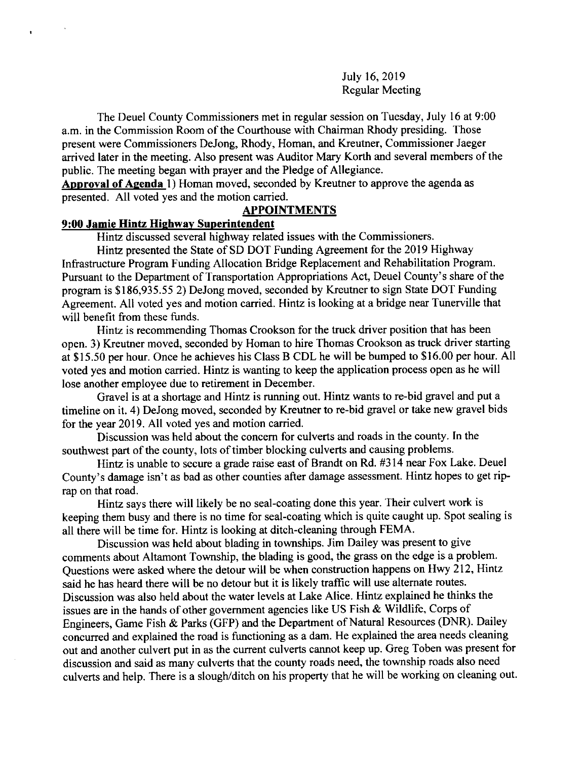July 16,2019 Regular Meeting

The Deuel County Commissioners met in regular session on Tuesday, July l6 at 9:00 a.m. in the Commission Room of the Courthouse with Chairman Rhody presiding. Those present were Commissioners DeJong, Rhody, Homan, and Kreutner, Commissioner Jaeger arrived later in the meeting. Also present was Auditor Mary Korth and several members of the public. The meeting began with prayer and the Pledge of Allegiance.

Approval of Agenda  $1$ ) Homan moved, seconded by Kreutner to approve the agenda as presented. All voted yes and the motion carried.

#### APPOINTMENTS

## 9:00 Jamie Hintz Hiehway Superintendent

Hintz discussed several highway related issues with the Commissioners.

Hintz presented the State of SD DOT Funding Agreement for the 2019 Highway Infrastructure Program Funding Allocation Bridge Replacement and Rehabilitation Program. Pursuant to the Department of Transportation Appropriations Act, Deuel County's share of the program is \$186,935.55 2) DeJong moved, seconded by Kreutner to sign State DOT Funding Agreement. All voted yes and motion carried. Hintz is looking at a bridge near Tunerville that will benefit from these funds.

Hintz is recommending Thomas Crookson for the truck driver position that has been open. 3) Kreutner moved, seconded by Homan to hire Thomas Crookson as truck driver starting at \$15.50 per hour. Once he achieves his Class B CDL he will be bumped to \$16.00 per hour. All voted yes and motion carried. Hintz is wanting to keep the application process open as he will lose another employee due to retirement in December.

Gravel is at a shortage and Hintz is running out. Hintz wants to re-bid gravel and put a timeline on it. 4) DeJong moved, seconded by Kreutner to re-bid gravel or take new gravel bids for the year 2019. All voted yes and motion carried.

Discussion was held about the concem for culverts and roads in the county. In the southwest part of the county, lots of timber blocking culverts and causing problems.

Hintz is unable to secure a grade raise east of Brandt on Rd. #314 near Fox Lake. Deuel County's damage isn't as bad as other counties after damage assessment. Hintz hopes to get riprap on that road.

Hintz says there will likely be no seal-coating done this year. Their culvert work is keeping them busy and there is no time for seal-coating which is quite caught up. Spot sealing is all there will be time for. Hintz is looking at ditch-cleaning through FEMA.

Discussion was held about blading in townships. Jim Dailey was present to give comments about Altamont Township, the blading is good, the grass on the edge is a problem. Questions were asked where the detour will be when construction happens on Hwy 212, Hintz said he has heard there will be no detour but it is likely traffic will use altemate routes. Discussion was also held about the water levels at Lake Alice. Hintz explained he thinks the issues are in the hands of other government agencies like US Fish  $\&$  Wildlife, Corps of Engineers, Game Fish & Parks (GFP) and the Department of Natural Resources (DNR). Dailey concurred and explained the road is functioning as a dam. He explained the area needs cleaning out and another culvert put in as the current culverts cannot keep up. Greg Toben was present for discussion and said as many culverts that the county roads need, the township roads also need culverts and help. There is a slough/ditch on his property that he will be working on cleaning out.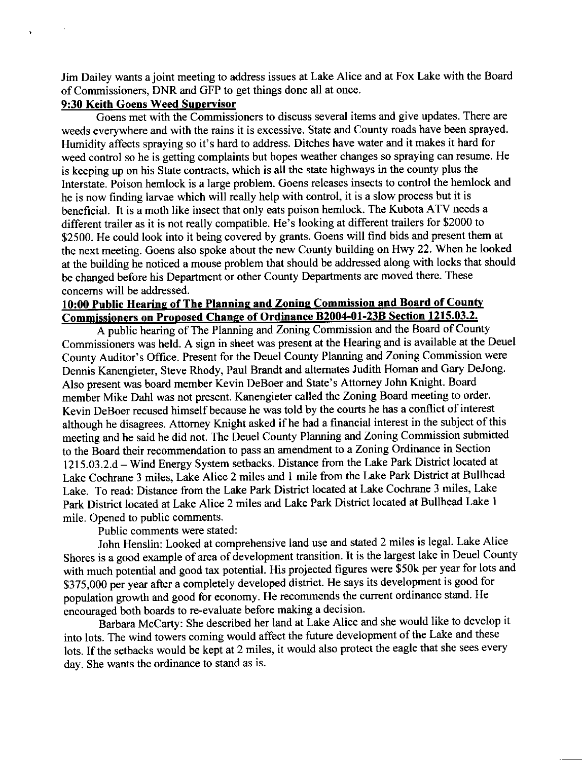Jim Dailey wants a joint meeting to address issues at Lake Alice and at Fox Lake with the Board of Commissioners, DNR and GFP to get things done all at once.

# 9:30 Keith Goens Weed Supervisor

 $\ddot{\phantom{0}}$ 

Goens met with the Commissioners to discuss several items and give updates. There are weeds everywhere and with the rains it is excessive. State and County roads have been sprayed. Humidity affects spraying so it's hard to address. Ditches have water and it makes it hard for weed control so he is getting complaints but hopes weather changes so spraying can resume. He is keeping up on his State contracts, which is all the state highways in the county plus the Interstate. Poison hemlock is a large problem. Goens releases insects to control the hemlock and he is now finding larvae which will really help with control, it is a slow process but it is beneficial. It is a moth like insect that only eats poison hemlock. The Kubota ATV needs <sup>a</sup> different trailer as it is not really compatible. He's looking at different trailers for \$2000 to \$2500. He could look into it being covered by grants. Goens will find bids and present them at the next meeting. Goens also spoke about the new county building on Hwy 22. when he looked at the building he noticed a mouse problem that should be addressed along with locks that should be changed before his Department or other County Departments are moved there. These concems will be addressed.

# 10:00 Public Hearing of The Planning and Zoning Commission and Board of County Commissioners on Proposed Change of Ordinance B2004-01-23B Section 1215.03.2.

A public hearing of The Planning and Zoning Commission and the Board of County Commissioners was held. A sign in sheet was present at the Hearing and is available at the Deuel county Auditor's office. Present for the Deuel county Planning and Zoning commission were Dennis Kanengieter, Steve Rhody, Paul Brandt and altemates Judith Homan and Gary DeJong. Also present was board member Kevin DeBoer and State's Attomey John Knight. Board member Mike Dahl was not present. Kanengieter called the Zoning Board meeting to order. Kevin DeBoer recused himself because he was told by the courts he has a conflict of interest although he disagrees. Attorney Knight asked if he had a financial interest in the subject of this meeting and he said he did not. The Deuel County Planning and Zoning Commission submitted to the Board their recommendation to pass an amendment to a Zoning Ordinance in Section 1215.03.2.d - Wind Energy System setbacks. Distance from the Lake Park District located at Lake Cochrane 3 miles, Lake Alice 2 miles and I mile from the Lake Park District at Bullhead Lake. To read: Distance from the Lake Park District located at Lake Cochrane 3 miles, Lake Park District located at Lake Alice 2 miles and Lake Park District located at Bullhead Lake <sup>I</sup> mile. Opened to public comments.

Public comments were stated:

John Henslin: Looked at comprehensive land use and stated 2 miles is legal. Lake Alice Shores is a good example of area of development transition. It is the largest lake in Deuel County with much potential and good tax potential. His projected figures were \$50k per year for lots and \$375,000 per year after a completely developed district. He says its development is good for population growth and good for economy. He recommends the current ordinance stand. He encouraged both boards to re-evaluate before making a decision.

Barbara McCarty: She described her land at Lake Alice and she would like to develop it into lots. The wind towers coming would affect the future development of the Lake and these lots. If the setbacks would be kept at 2 miles, it would also protect the eagle that she sees every day. She wants the ordinance to stand as is.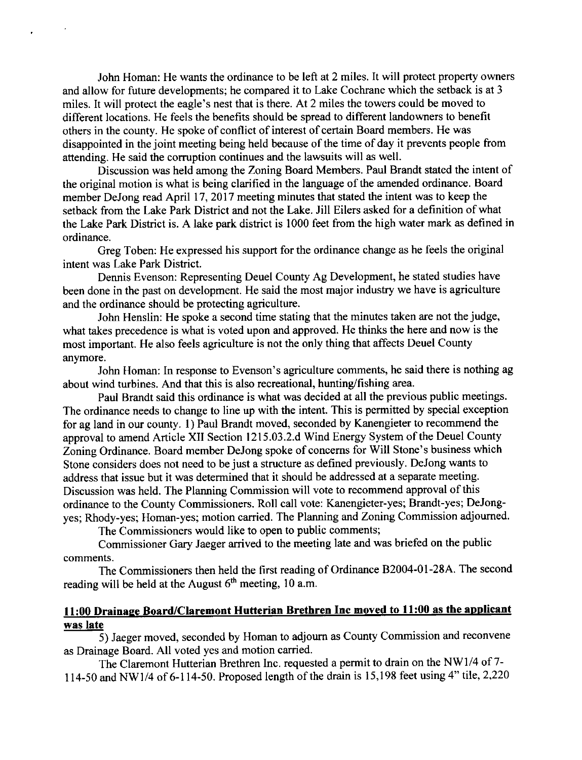John Homan: He wants the ordinance to be left at 2 miles. It will protect property owners and allow for futue developments; he compared it to Lake Cochrane which the setback is at 3 miles. It will protect the eagle's nest that is there. At 2 miles the towers could be moved to different locations. He feels the benefits should be spread to different landowners to benefit others in the county. He spoke of conflict of interest of certain Board members. He was disappointed in the joint meeting being held because of the time of day it prevents people from attending. He said the corruption continues and the lawsuits will as well.

Discussion was held among the Zoning Board Members. Paul Brandt stated the intent of the original motion is what is being clarified in the language of the amended ordinance. Board member DeJong read April 17, 2017 meeting minutes that stated the intent was to keep the setback from the Lake Park District and not the Lake. Jill Eilers asked for a definition of what the Lake Park District is. A lake park district is 1000 feet from the high water mark as defined in ordinance.

Greg Toben: He expressed his support for the ordinance change as he feels the original intent was Lake Park District.

Dennis Evenson: Representing Deuel County Ag Development, he stated studies have been done in the past on development. He said the most major industry we have is agriculture and the ordinance should be protecting agriculture.

John Henslin: He spoke a second time stating that the minutes taken are not the judge, what takes precedence is what is voted upon and approved. He thinks the here and now is the most important. He also feels agriculture is not the only thing that affects Deuel County anymore.

John Homan: In response to Evenson's agriculture comments, he said there is nothing ag about wind turbines. And that this is also recreational, hunting/frshing area.

Paul Brandt said this ordinance is what was decided at all the previous public meetings. The ordinance needs to change to line up with the intent. This is permitted by special exception for ag land in our county. 1) Paul Brandt moved, seconded by Kanengieter to recommend the approval to amend Article XII Section 1215.03.2.d Wind Energy System of the Deuel County Zoning Ordinance. Board member DeJong spoke of concerns for Will Stone's business which Stone considers does not need to be just a structure as defined previously. DeJong wants to address that issue but it was determined that it should be addressed at a separate meeting. Discussion was held. The Planning Commission will vote to recommend approval of this ordinance to the County Commissioners. Roll call vote: Kanengieter-yes; Brandt-yes; DeJongyes; Rhody-yes; Homan-yes; motion carried. The Planning and Zoning Commission adjoumed.

The Commissioners would like to open to public comments;

Commissioner Gary Jaeger arrived to the meeting late and was briefed on the public comments.

The Commissioners then held the first reading of Ordinance 82004-01-28A. The second reading will be held at the August  $6<sup>th</sup>$  meeting, 10 a.m.

# was late 11:00 Drainaee Board/claremont Hutterian Brethren Inc moved to 11:00 as the apolicant

5) Jaeger moved, seconded by Homan to adjoum as County Commission and reconvene as Drainage Board. All voted yes and motion carried.

The Claremont Hutterian Brethren Inc. requested a permit to drain on the NW1/4 of 7- 114-50 and NW1/4 of 6-114-50. Proposed length of the drain is 15,198 feet using  $4"$  tile, 2,220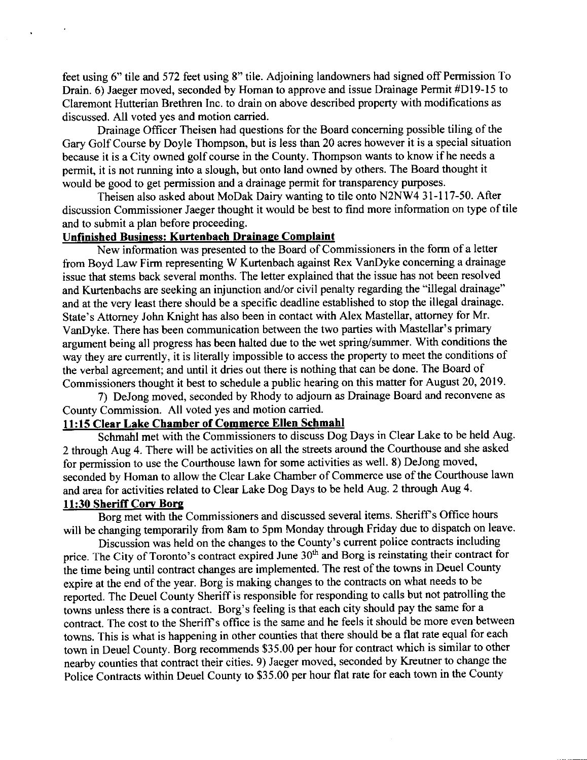feet using 6" tile and 572 feet using 8" tile. Adjoining landowners had signed off Permission To Drain. 6) Jaeger moved, seconded by Homan to approve and issue Drainage Permit #Dl9-15 to Claremont Hutterian Brethren Inc. to drain on above described property with modifications as discussed. All voted yes and motion carried.

Drainage Officer Theisen had questions for the Board concerning possible tiling of the Gary Golf Course by Doyle Thompson, but is less than 20 acres however it is a special situation because it is a City owned golf course in the County. Thompson wants to know if he needs a permit, it is not running into a slough, but onto land owned by others. The Board thought it would be good to get permission and a drainage permit for transparency purposes.

Theisen also asked about MoDak Dairy warting to tile onto N2NW4 31-117-50. After discussion Commissioner Jaeger thought it would be best to find more information on type of tile and to submit a plan before proceeding.

# Unfinished Business: Kurtenbach Drainaqe Comolaint

New information was presented to the Board of Commissioners in the form of a letter fiom Boyd Law Firm representing W Kurtenbach against Rex VanDyke conceming a drainage issue that stems back several months. The letter explained that the issue has not been resolved and Kurtenbachs are seeking an injunction and/or civil penalty regarding the "illegal drainage" and at the very least there should be a specific deadline established to stop the illegal drainage. State's Attomey John Knight has also been in contact with Alex Mastellar, attorney for Mr. VanDyke. There has been communication between the two parties with Mastellar's primary argument being all progress has been halted due to the wet spring/summer. With conditions the way they are currently, it is literally impossible to access the property to meet the conditions of the verbal agreement; and until it dries out there is nothing that can be done. The Board of commissioners thought it best to schedule a public hearing on this matter for August 20, 2019.

7) DeJong moved, seconded by Rhody to adjoum as Drainage Board and reconvene as County Commission. All voted yes and motion carried.

## l1:15 Clear Lake Chamber of Commerce Ellen Schmahl

Schmahl met with the Commissioners to discuss Dog Days in Clear Lake to be held Aug. 2 through Aug 4. There will be activities on all the streets around the Courthouse and she asked for permission to use the Courthouse lawn for some activities as well. 8) DeJong moved, seconded by Homan to allow the Clear Lake Chamber of Commerce use of the Courthouse lawn and area for activities related to Clear Lake Dog Days to be held Aug. 2 through Aug 4.

# 11:30 Sheriff Cory Borg

Borg met with the Commissioners and discussed several items. Sheriff's Office hours will be changing temporarily from 8am to 5pm Monday through Friday due to dispatch on leave.

Discussion was held on the changes to the County's current police contracts including price. The City of Toronto's contract expired June 30<sup>th</sup> and Borg is reinstating their contract for the time being until contract changes are implemented. The rest of the towns in Deuel county expire at the end of the year. Borg is making changes to the contracts on what needs to be reported. The Deuel County Sheriff is responsible for responding to calls but not patrolling the towns unless there is a contract. Borg's feeling is that each city should pay the same for <sup>a</sup> contract. The cost to the Sheriff's office is the same and he feels it should be more even between towns. This is what is happening in other counties that there should be a flat rate equal for each town in Deuel County. Borg recommends \$35.00 per hour for contract which is similar to other nearby counties that contract their cities. 9) Jaeger moved, seconded by Kreutner to change the Police Contracts within Deuel County to  $\frac{$35.00}{$25.00}$  per hour flat rate for each town in the County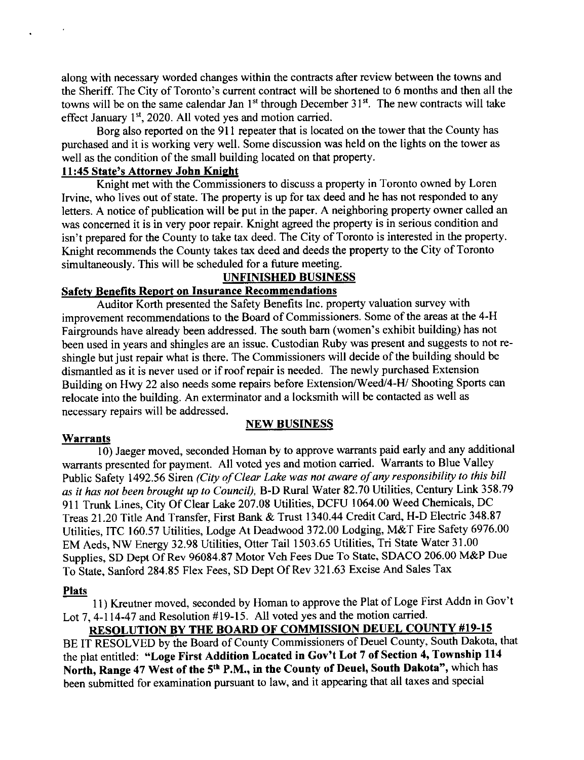along with necessary worded changes within the contracts after review between the towns and the Sheriff. The City of Toronto's current contract will be shortened to 6 months and then all the towns will be on the same calendar Jan 1<sup>st</sup> through December 31<sup>st</sup>. The new contracts will take effect January  $1<sup>st</sup>$ , 2020. All voted yes and motion carried.

Borg also reported on the 9l I repeater that is located on the tower that the County has purchased and it is working very well. Some discussion was held on the lights on the tower as well as the condition of the small building located on that property.

## 11:45 State's Attorney John Knight

Knight met with the Commissioners to discuss a property in Toronto owned by Loren Irvine, who lives out of state. The property is up for tax deed and he has not responded to any letters. A notice of publication will be put in the paper. A neighboring property owner called an was concemed it is in very poor repair. Knight agreed the property is in serious condition and isn't prepared for the County to take tax deed. The City of Toronto is interested in the property. Knight recommends the County takes tax deed and deeds the property to the City of Toronto simultaneously. This will be scheduled for a future meeting.

# UNFINISHED BUSINESS

# Safetv Benefits Report on Insurance Recommendations

Auditor Korth presented the Safety Benefits Inc. property valuation survey with improvement recommendations to the Board of Commissioners. Some of the areas at the 4-H Fairgrounds have already been addressed. The south bam (women's exhibit building) has not been used in years and shingles are an issue. Custodian Ruby was present and suggests to not reshingle but just repair what is there. The Commissioners will decide of the building should be dismantled as it is never used or if roof repair is needed. The newly purchased Extension Building on Hwy 22 also needs some repairs before Extension/Weed/4-H/ Shooting Sports can relocate into the building. An exterminator and a locksmith will be contacted as well as necessary repairs will be addressed.

## NEW BUSINESS

#### Warrants

10) Jaeger moved, seconded Homan by to approve warrants paid early and any additional warrants presented for payment. All voted yes and motion carried. Warrants to Blue Valley Public Safety 1492.56 Siren (City of Clear Lake was not aware of any responsibility to this bill as it has not been brought up to Council), B-D Rural Water 82.70 Utilities, Century Link 358.79 911 Trunk Lines, City Of Clear Lake 207.08 Utilities, DCFU 1064.00 Weed Chemicals, DC Treas 21.20 Title And Transfer, First Bank & Trust 1340.44 Credit Card, H-D Electric 348.87 Utilities, ITC 160.57 Utilities, Lodge At Deadwood 372.00 Lodging, M&T Fire Safety 6976.00 EM Aeds, NW Energy 32.98 Utilities, Otter Tail 1503.65 Utilities, Tri State Water 31.00 Supplies, SD Dept Of Rev 96084.87 Motor Veh Fees Due To State, SDACO 206.00 M&P Due To State, Sanford 284.85 Flex Fees, SD Dept Of Rev 321.63 Excise And Sales Tax

#### Plats

11) Kreutner moved, seconded by Homan to approve the Plat of Loge First Addn in Gov't Lot 7, 4-114-47 and Resolution #19-15. All voted yes and the motion carried.<br>RESOLUTION BY THE BOARD OF COMMISSION DEUEL COUNTY #19-15

BE IT RESOLVED by the Board of County Commissioners of Deuel County, South Dakota, that the plat entitled: "Loge First Addition Located in Gov't Lot 7 of Section 4, Township 114 North, Range 47 West of the 5<sup>th</sup> P.M., in the County of Deuel, South Dakota", which has been submitted for examination pusuant to law, and it appearing that all taxes and special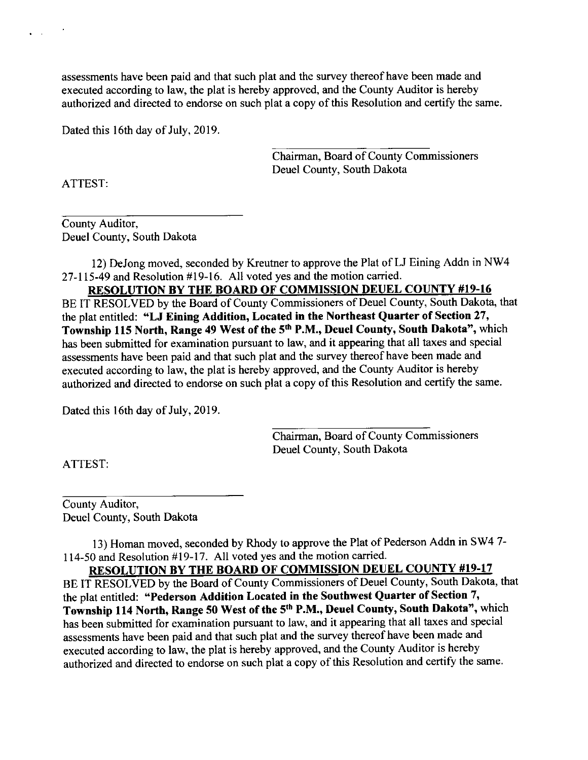assessments have been paid and that such plat and the survey thereofhave been made and executed according to law, the plat is hereby approved, and the County Auditor is hereby authorized and directed to endorse on such plat a copy of this Resolution and certify the same.

Dated this 16th day of July, 2019.

Chairman, Board of County Commissioners Deuel Countv. South Dakota

ATTEST:

 $\bullet$  . The set of  $\bullet$ 

County Auditor, Deuel County, South Dakota

12) DeJong moved, seconded by Kreutner to approve the Plat of LJ Eining Addn in NW4 27-ll5-49 and Resolution #19-16. All voted yes and the motion carried.

RESOLUTION BY THE BOARD OF COMMISSION DEUEL COUNTY #19-16 BE IT RESOLVED by the Board of County Commissioners of Deuel County, South Dakota, that the plat entitled: "LJ Eining Addition, Located in the Northeast Quarter of Section 27, Township 115 North, Range 49 West of the 5<sup>th</sup> P.M., Deuel County, South Dakota", which has been submitted for examination pursuant to law, and it appearing that all taxes and special assessments have been paid and that such plat and the survey thereof have been made and executed according to law, the plat is hereby approved, and the County Auditor is hereby authorized and directed to endorse on such plat a copy of this Resolution and certify the same.

Dated this 16th day of July, 2019.

Chairman, Board of County Commissioners Deuel County, South Dakota

ATTEST:

County Auditor, Deuel County, South Dakota

13) Homan moved, seconded by Rhody to approve the Plat of Pederson Addn in SW4 7-114-50 and Resolution #19-17. All voted yes and the motion carried.<br>RESOLUTION BY THE BOARD OF COMMISSION DEUEL COUNTY #19-17

BE IT RESOLVED by the Board of County Commissioners of Deuel County, South Dakota, that the plat entitled: "Pederson Addition Located in the Southwest Quarter of Section 7, Township 114 North, Range 50 West of the sth P.M., Deuel County, South Dakota", which has been submitted for examination pursuant to law, and it appearing that all taxes and special assessments have been paid and that such plat and the survey thereof have been made and executed according to law, the plat is hereby approved, and the County Auditor is hereby authorized and directed to endorse on such plat a copy of this Resolution and certify the same.